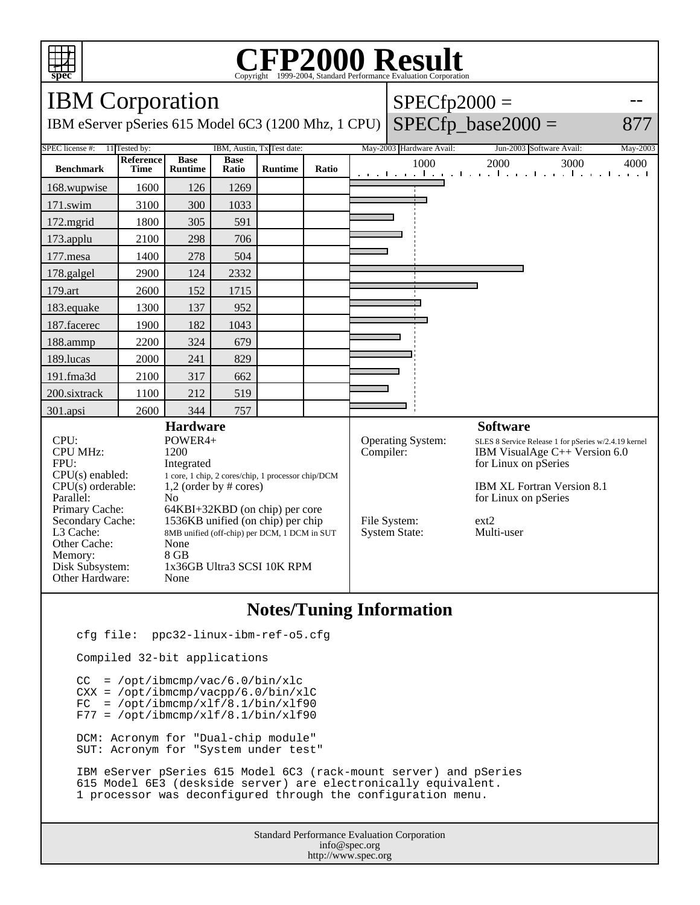

## Copyright ©1999-2004, Standard Performance Evaluation Corporation

| <b>IBM</b> Corporation                                                         |                                              |                               |                      |                |       |                            | $SPECfp2000 =$           |                                                                                 |          |
|--------------------------------------------------------------------------------|----------------------------------------------|-------------------------------|----------------------|----------------|-------|----------------------------|--------------------------|---------------------------------------------------------------------------------|----------|
| IBM eServer pSeries 615 Model 6C3 (1200 Mhz, 1 CPU)                            |                                              |                               |                      |                |       |                            |                          | $SPECfp\_base2000 =$                                                            | 877      |
| SPEC license #:<br>11 Tested by:<br>IBM, Austin, Tx Test date:                 |                                              |                               |                      |                |       |                            | May-2003 Hardware Avail: | Jun-2003 Software Avail:                                                        | May-2003 |
| <b>Benchmark</b>                                                               | Reference<br><b>Time</b>                     | <b>Base</b><br><b>Runtime</b> | <b>Base</b><br>Ratio | <b>Runtime</b> | Ratio |                            | 1000                     | 2000<br>3000<br>and the model of a final contract the model of a final contract | 4000     |
| 168.wupwise                                                                    | 1600                                         | 126                           | 1269                 |                |       |                            |                          |                                                                                 |          |
| 171.swim                                                                       | 3100                                         | 300                           | 1033                 |                |       |                            |                          |                                                                                 |          |
| 172.mgrid                                                                      | 1800                                         | 305                           | 591                  |                |       |                            |                          |                                                                                 |          |
| 173.applu                                                                      | 2100                                         | 298                           | 706                  |                |       |                            |                          |                                                                                 |          |
| 177.mesa                                                                       | 1400                                         | 278                           | 504                  |                |       |                            |                          |                                                                                 |          |
| 178.galgel                                                                     | 2900                                         | 124                           | 2332                 |                |       |                            |                          |                                                                                 |          |
| 179.art                                                                        | 2600                                         | 152                           | 1715                 |                |       |                            |                          |                                                                                 |          |
| 183.equake                                                                     | 1300                                         | 137                           | 952                  |                |       |                            |                          |                                                                                 |          |
| 187.facerec                                                                    | 1900                                         | 182                           | 1043                 |                |       |                            |                          |                                                                                 |          |
| 188.ammp                                                                       | 2200                                         | 324                           | 679                  |                |       |                            |                          |                                                                                 |          |
| 189.lucas                                                                      | 2000                                         | 241                           | 829                  |                |       |                            |                          |                                                                                 |          |
| 191.fma3d                                                                      | 2100                                         | 317                           | 662                  |                |       |                            |                          |                                                                                 |          |
| 200.sixtrack                                                                   | 1100                                         | 212                           | 519                  |                |       |                            |                          |                                                                                 |          |
| 301.apsi                                                                       | 2600                                         | 344                           | 757                  |                |       |                            |                          |                                                                                 |          |
| <b>Hardware</b>                                                                |                                              |                               |                      |                |       |                            |                          | <b>Software</b>                                                                 |          |
| CPU:                                                                           |                                              | POWER4+                       |                      |                |       |                            | Operating System:        | SLES 8 Service Release 1 for pSeries w/2.4.19 kernel                            |          |
| <b>CPU MHz:</b>                                                                |                                              | 1200                          |                      |                |       | Compiler:                  |                          | IBM VisualAge $C++$ Version 6.0                                                 |          |
| FPU:<br>Integrated                                                             |                                              |                               |                      |                |       |                            | for Linux on pSeries     |                                                                                 |          |
| $CPU(s)$ enabled:<br>1 core, 1 chip, 2 cores/chip, 1 processor chip/DCM        |                                              |                               |                      |                |       | IBM XL Fortran Version 8.1 |                          |                                                                                 |          |
| $CPU(s)$ orderable:<br>$1,2$ (order by # cores)<br>Parallel:<br>N <sub>0</sub> |                                              |                               |                      |                |       | for Linux on pSeries       |                          |                                                                                 |          |
| Primary Cache:<br>64KBI+32KBD (on chip) per core                               |                                              |                               |                      |                |       |                            |                          |                                                                                 |          |
| Secondary Cache:                                                               | 1536KB unified (on chip) per chip            |                               |                      |                |       | File System:               | ext2                     |                                                                                 |          |
| L3 Cache:                                                                      | 8MB unified (off-chip) per DCM, 1 DCM in SUT |                               |                      |                |       | <b>System State:</b>       | Multi-user               |                                                                                 |          |
| Other Cache:                                                                   | None                                         |                               |                      |                |       |                            |                          |                                                                                 |          |
| Memory:                                                                        | $8$ GB                                       |                               |                      |                |       |                            |                          |                                                                                 |          |
| Disk Subsystem:<br>Other Hardware:                                             | 1x36GB Ultra3 SCSI 10K RPM<br>None           |                               |                      |                |       |                            |                          |                                                                                 |          |
|                                                                                |                                              |                               |                      |                |       |                            |                          |                                                                                 |          |

## **Notes/Tuning Information**

cfg file: ppc32-linux-ibm-ref-o5.cfg

Compiled 32-bit applications

 $CC = /opt/ibmcmp/vac/6.0/bin/xlc$  CXX = /opt/ibmcmp/vacpp/6.0/bin/xlC  $FC = /opt/ibmcmp/xlf/8.1/bin/xlf90$  $F77 = /opt/ibmcmp/xlf/8.1/bin/xlf90$  DCM: Acronym for "Dual-chip module" SUT: Acronym for "System under test"

 IBM eServer pSeries 615 Model 6C3 (rack-mount server) and pSeries 615 Model 6E3 (deskside server) are electronically equivalent. 1 processor was deconfigured through the configuration menu.

> Standard Performance Evaluation Corporation info@spec.org http://www.spec.org